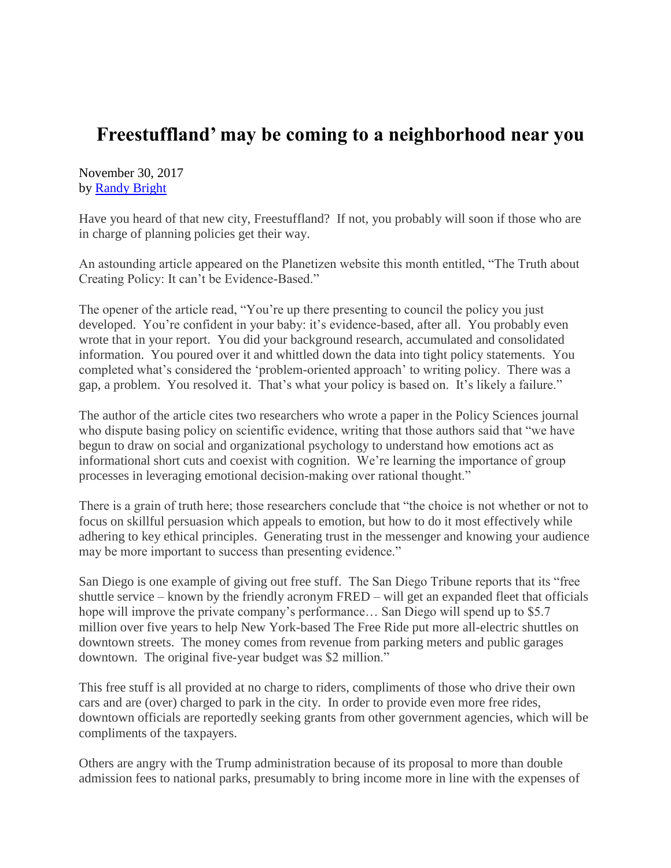## **Freestuffland' may be coming to a neighborhood near you**

November 30, 2017 by [Randy Bright](http://tulsabeacon.com/writers/randy-bright/)

Have you heard of that new city, Freestuffland? If not, you probably will soon if those who are in charge of planning policies get their way.

An astounding article appeared on the Planetizen website this month entitled, "The Truth about Creating Policy: It can't be Evidence-Based."

The opener of the article read, "You're up there presenting to council the policy you just developed. You're confident in your baby: it's evidence-based, after all. You probably even wrote that in your report. You did your background research, accumulated and consolidated information. You poured over it and whittled down the data into tight policy statements. You completed what's considered the 'problem-oriented approach' to writing policy. There was a gap, a problem. You resolved it. That's what your policy is based on. It's likely a failure."

The author of the article cites two researchers who wrote a paper in the Policy Sciences journal who dispute basing policy on scientific evidence, writing that those authors said that "we have begun to draw on social and organizational psychology to understand how emotions act as informational short cuts and coexist with cognition. We're learning the importance of group processes in leveraging emotional decision-making over rational thought."

There is a grain of truth here; those researchers conclude that "the choice is not whether or not to focus on skillful persuasion which appeals to emotion, but how to do it most effectively while adhering to key ethical principles. Generating trust in the messenger and knowing your audience may be more important to success than presenting evidence."

San Diego is one example of giving out free stuff. The San Diego Tribune reports that its "free shuttle service – known by the friendly acronym FRED – will get an expanded fleet that officials hope will improve the private company's performance... San Diego will spend up to \$5.7 million over five years to help New York-based The Free Ride put more all-electric shuttles on downtown streets. The money comes from revenue from parking meters and public garages downtown. The original five-year budget was \$2 million."

This free stuff is all provided at no charge to riders, compliments of those who drive their own cars and are (over) charged to park in the city. In order to provide even more free rides, downtown officials are reportedly seeking grants from other government agencies, which will be compliments of the taxpayers.

Others are angry with the Trump administration because of its proposal to more than double admission fees to national parks, presumably to bring income more in line with the expenses of